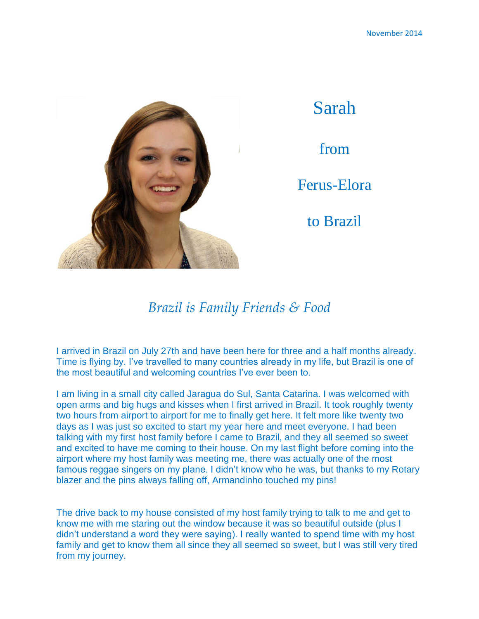

## *Brazil is Family Friends & Food*

I arrived in Brazil on July 27th and have been here for three and a half months already. Time is flying by. I've travelled to many countries already in my life, but Brazil is one of the most beautiful and welcoming countries I've ever been to.

I am living in a small city called Jaragua do Sul, Santa Catarina. I was welcomed with open arms and big hugs and kisses when I first arrived in Brazil. It took roughly twenty two hours from airport to airport for me to finally get here. It felt more like twenty two days as I was just so excited to start my year here and meet everyone. I had been talking with my first host family before I came to Brazil, and they all seemed so sweet and excited to have me coming to their house. On my last flight before coming into the airport where my host family was meeting me, there was actually one of the most famous reggae singers on my plane. I didn't know who he was, but thanks to my Rotary blazer and the pins always falling off, Armandinho touched my pins!

The drive back to my house consisted of my host family trying to talk to me and get to know me with me staring out the window because it was so beautiful outside (plus I didn't understand a word they were saying). I really wanted to spend time with my host family and get to know them all since they all seemed so sweet, but I was still very tired from my journey.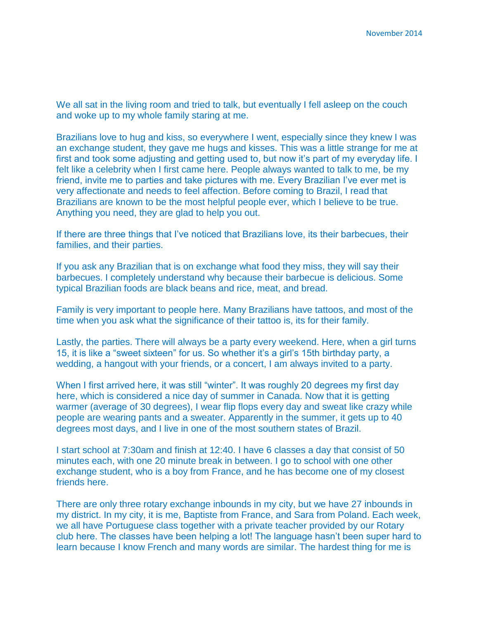We all sat in the living room and tried to talk, but eventually I fell asleep on the couch and woke up to my whole family staring at me.

Brazilians love to hug and kiss, so everywhere I went, especially since they knew I was an exchange student, they gave me hugs and kisses. This was a little strange for me at first and took some adjusting and getting used to, but now it's part of my everyday life. I felt like a celebrity when I first came here. People always wanted to talk to me, be my friend, invite me to parties and take pictures with me. Every Brazilian I've ever met is very affectionate and needs to feel affection. Before coming to Brazil, I read that Brazilians are known to be the most helpful people ever, which I believe to be true. Anything you need, they are glad to help you out.

If there are three things that I've noticed that Brazilians love, its their barbecues, their families, and their parties.

If you ask any Brazilian that is on exchange what food they miss, they will say their barbecues. I completely understand why because their barbecue is delicious. Some typical Brazilian foods are black beans and rice, meat, and bread.

Family is very important to people here. Many Brazilians have tattoos, and most of the time when you ask what the significance of their tattoo is, its for their family.

Lastly, the parties. There will always be a party every weekend. Here, when a girl turns 15, it is like a "sweet sixteen" for us. So whether it's a girl's 15th birthday party, a wedding, a hangout with your friends, or a concert, I am always invited to a party.

When I first arrived here, it was still "winter". It was roughly 20 degrees my first day here, which is considered a nice day of summer in Canada. Now that it is getting warmer (average of 30 degrees), I wear flip flops every day and sweat like crazy while people are wearing pants and a sweater. Apparently in the summer, it gets up to 40 degrees most days, and I live in one of the most southern states of Brazil.

I start school at 7:30am and finish at 12:40. I have 6 classes a day that consist of 50 minutes each, with one 20 minute break in between. I go to school with one other exchange student, who is a boy from France, and he has become one of my closest friends here.

There are only three rotary exchange inbounds in my city, but we have 27 inbounds in my district. In my city, it is me, Baptiste from France, and Sara from Poland. Each week, we all have Portuguese class together with a private teacher provided by our Rotary club here. The classes have been helping a lot! The language hasn't been super hard to learn because I know French and many words are similar. The hardest thing for me is